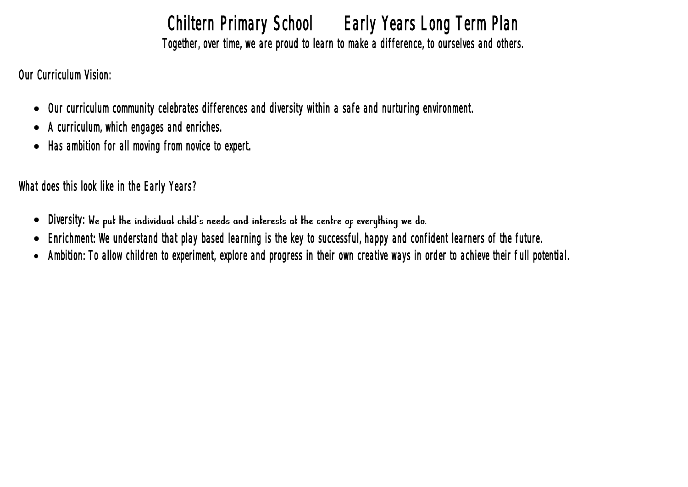Chiltern Primary School Early Years Long Term Plan Together, over time, we are proud to learn to make a difference, to ourselves and others.

Our Curriculum Vision:

- Our curriculum community celebrates differences and diversity within a safe and nurturing environment.
- A curriculum, which engages and enriches.
- Has ambition for all moving from novice to expert.

What does this look like in the Early Years?

- Diversity: We put the individual child's needs and interests at the centre of everything we do.
- Enrichment: We understand that play based learning is the key to successful, happy and confident learners of the future.
- Ambition: To allow children to experiment, explore and progress in their own creative ways in order to achieve their full potential.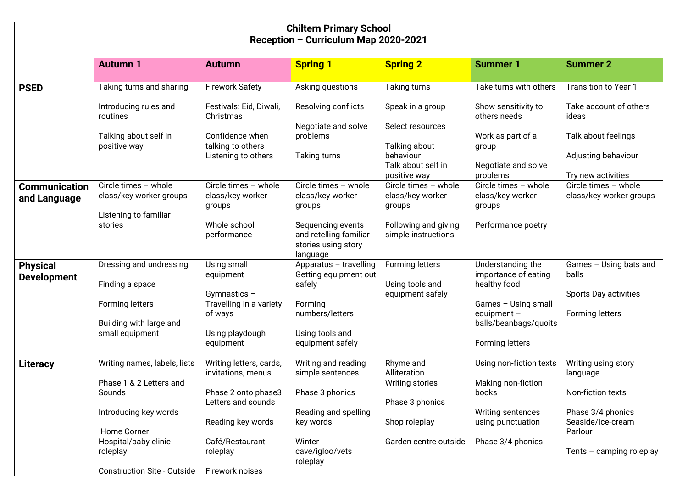| <b>Chiltern Primary School</b>        |                                                                            |                                                                                                     |                                                                                |                                                                    |                                                                                  |                                                                               |  |  |  |  |
|---------------------------------------|----------------------------------------------------------------------------|-----------------------------------------------------------------------------------------------------|--------------------------------------------------------------------------------|--------------------------------------------------------------------|----------------------------------------------------------------------------------|-------------------------------------------------------------------------------|--|--|--|--|
| Reception - Curriculum Map 2020-2021  |                                                                            |                                                                                                     |                                                                                |                                                                    |                                                                                  |                                                                               |  |  |  |  |
|                                       | <b>Autumn 1</b>                                                            | <b>Autumn</b>                                                                                       | <b>Spring 1</b>                                                                | <b>Spring 2</b>                                                    | <b>Summer 1</b>                                                                  | <b>Summer 2</b>                                                               |  |  |  |  |
| <b>PSED</b>                           | Taking turns and sharing                                                   | <b>Firework Safety</b>                                                                              | Asking questions                                                               | <b>Taking turns</b>                                                | Take turns with others                                                           | <b>Transition to Year 1</b>                                                   |  |  |  |  |
|                                       | Introducing rules and<br>routines<br>Talking about self in<br>positive way | Festivals: Eid, Diwali,<br>Christmas<br>Confidence when<br>talking to others<br>Listening to others | Resolving conflicts<br>Negotiate and solve<br>problems<br><b>Taking turns</b>  | Speak in a group<br>Select resources<br>Talking about<br>behaviour | Show sensitivity to<br>others needs<br>Work as part of a<br>group                | Take account of others<br>ideas<br>Talk about feelings<br>Adjusting behaviour |  |  |  |  |
|                                       |                                                                            |                                                                                                     |                                                                                | Talk about self in<br>positive way                                 | Negotiate and solve<br>problems                                                  | Try new activities                                                            |  |  |  |  |
| <b>Communication</b><br>and Language  | Circle times - whole<br>class/key worker groups<br>Listening to familiar   | Circle times - whole<br>class/key worker<br>groups                                                  | Circle times - whole<br>class/key worker<br>groups                             | Circle times - whole<br>class/key worker<br>groups                 | Circle times - whole<br>class/key worker<br>groups                               | Circle times - whole<br>class/key worker groups                               |  |  |  |  |
|                                       | stories                                                                    | Whole school<br>performance                                                                         | Sequencing events<br>and retelling familiar<br>stories using story<br>language | Following and giving<br>simple instructions                        | Performance poetry                                                               |                                                                               |  |  |  |  |
| <b>Physical</b><br><b>Development</b> | Dressing and undressing<br>Finding a space<br>Forming letters              | Using small<br>equipment<br>Gymnastics $-$<br>Travelling in a variety                               | Apparatus - travelling<br>Getting equipment out<br>safely<br>Forming           | Forming letters<br>Using tools and<br>equipment safely             | Understanding the<br>importance of eating<br>healthy food<br>Games - Using small | Games - Using bats and<br>balls<br>Sports Day activities                      |  |  |  |  |
|                                       | Building with large and<br>small equipment                                 | of ways<br>Using playdough<br>equipment                                                             | numbers/letters<br>Using tools and<br>equipment safely                         |                                                                    | equipment $-$<br>balls/beanbags/quoits<br>Forming letters                        | Forming letters                                                               |  |  |  |  |
| Literacy                              | Writing names, labels, lists<br>Phase 1 & 2 Letters and                    | Writing letters, cards,<br>invitations, menus                                                       | Writing and reading<br>simple sentences                                        | Rhyme and<br>Alliteration<br>Writing stories                       | Using non-fiction texts<br>Making non-fiction                                    | Writing using story<br>language                                               |  |  |  |  |
|                                       | Sounds                                                                     | Phase 2 onto phase3<br>Letters and sounds                                                           | Phase 3 phonics                                                                | Phase 3 phonics                                                    | books                                                                            | Non-fiction texts                                                             |  |  |  |  |
|                                       | Introducing key words<br>Home Corner                                       | Reading key words                                                                                   | Reading and spelling<br>key words                                              | Shop roleplay                                                      | Writing sentences<br>using punctuation                                           | Phase 3/4 phonics<br>Seaside/Ice-cream<br>Parlour                             |  |  |  |  |
|                                       | Hospital/baby clinic<br>roleplay<br><b>Construction Site - Outside</b>     | Café/Restaurant<br>roleplay<br>Firework noises                                                      | Winter<br>cave/igloo/vets<br>roleplay                                          | Garden centre outside                                              | Phase 3/4 phonics                                                                | Tents $-$ camping roleplay                                                    |  |  |  |  |
|                                       |                                                                            |                                                                                                     |                                                                                |                                                                    |                                                                                  |                                                                               |  |  |  |  |